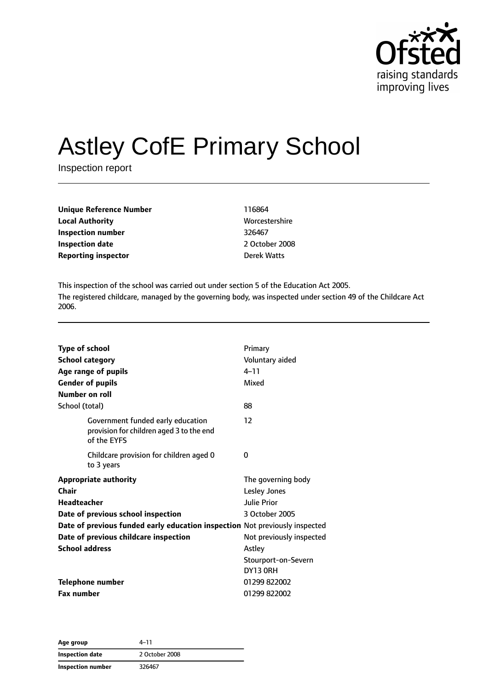

# Astley CofE Primary School

Inspection report

| <b>Unique Reference Number</b> | 116864        |
|--------------------------------|---------------|
| <b>Local Authority</b>         | <b>Worces</b> |
| Inspection number              | 326467        |
| <b>Inspection date</b>         | 2 Octol       |
| <b>Reporting inspector</b>     | Derek V       |

**Worcestershire Inspection date** 2 October 2008 **Derek Watts** 

This inspection of the school was carried out under section 5 of the Education Act 2005. The registered childcare, managed by the governing body, was inspected under section 49 of the Childcare Act 2006.

| <b>Type of school</b><br><b>School category</b><br>Age range of pupils<br><b>Gender of pupils</b><br><b>Number on roll</b>                                                                                                                         | Primary<br>Voluntary aided<br>$4 - 11$<br>Mixed                                                                                         |
|----------------------------------------------------------------------------------------------------------------------------------------------------------------------------------------------------------------------------------------------------|-----------------------------------------------------------------------------------------------------------------------------------------|
| School (total)                                                                                                                                                                                                                                     | 88                                                                                                                                      |
| Government funded early education<br>provision for children aged 3 to the end<br>of the EYFS                                                                                                                                                       | 12                                                                                                                                      |
| Childcare provision for children aged 0<br>to 3 years                                                                                                                                                                                              | 0                                                                                                                                       |
| <b>Appropriate authority</b><br>Chair<br><b>Headteacher</b><br>Date of previous school inspection<br>Date of previous funded early education inspection Not previously inspected<br>Date of previous childcare inspection<br><b>School address</b> | The governing body<br><b>Lesley Jones</b><br>Julie Prior<br>3 October 2005<br>Not previously inspected<br>Astley<br>Stourport-on-Severn |
| <b>Telephone number</b>                                                                                                                                                                                                                            | DY13 ORH<br>01299 822002                                                                                                                |
| <b>Fax number</b>                                                                                                                                                                                                                                  | 01299822002                                                                                                                             |

**Age group** 4–11 **Inspection date** 2 October 2008 **Inspection number** 326467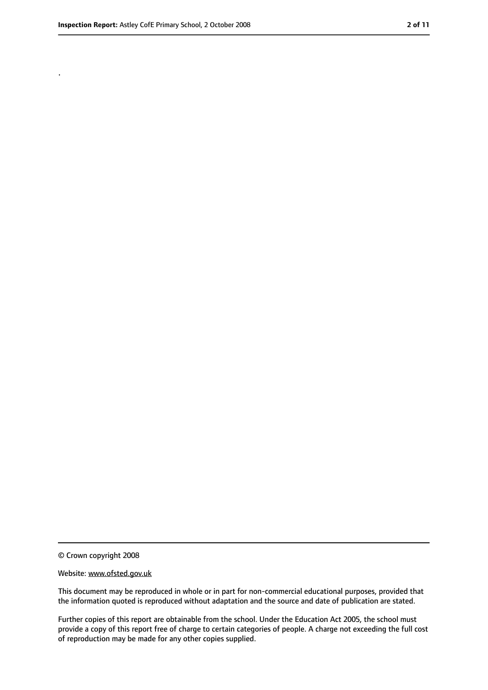.

<sup>©</sup> Crown copyright 2008

Website: www.ofsted.gov.uk

This document may be reproduced in whole or in part for non-commercial educational purposes, provided that the information quoted is reproduced without adaptation and the source and date of publication are stated.

Further copies of this report are obtainable from the school. Under the Education Act 2005, the school must provide a copy of this report free of charge to certain categories of people. A charge not exceeding the full cost of reproduction may be made for any other copies supplied.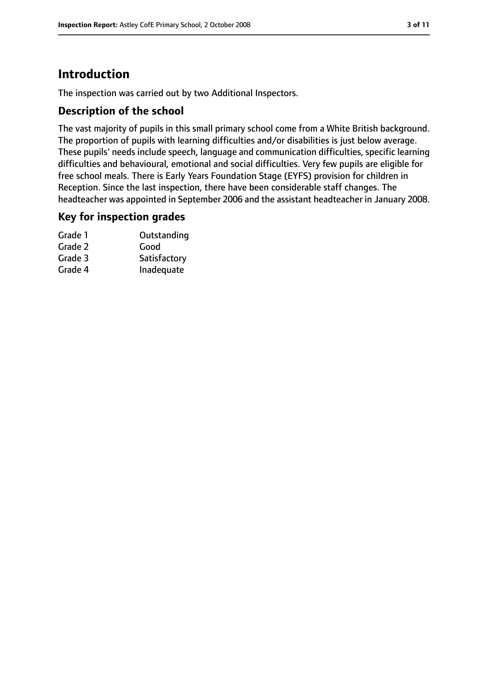# **Introduction**

The inspection was carried out by two Additional Inspectors.

#### **Description of the school**

The vast majority of pupils in this small primary school come from a White British background. The proportion of pupils with learning difficulties and/or disabilities is just below average. These pupils' needs include speech, language and communication difficulties, specific learning difficulties and behavioural, emotional and social difficulties. Very few pupils are eligible for free school meals. There is Early Years Foundation Stage (EYFS) provision for children in Reception. Since the last inspection, there have been considerable staff changes. The headteacher was appointed in September 2006 and the assistant headteacher in January 2008.

#### **Key for inspection grades**

| Grade 1 | Outstanding  |
|---------|--------------|
| Grade 2 | Good         |
| Grade 3 | Satisfactory |
| Grade 4 | Inadequate   |
|         |              |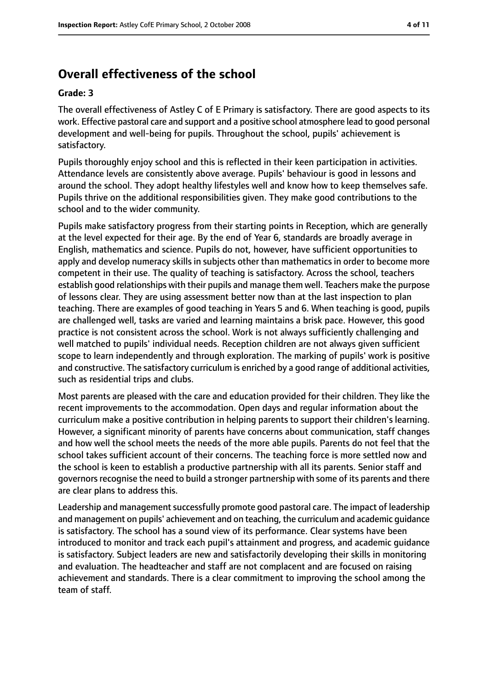# **Overall effectiveness of the school**

#### **Grade: 3**

The overall effectiveness of Astley C of E Primary is satisfactory. There are good aspects to its work. Effective pastoral care and support and a positive school atmosphere lead to good personal development and well-being for pupils. Throughout the school, pupils' achievement is satisfactory.

Pupils thoroughly enjoy school and this is reflected in their keen participation in activities. Attendance levels are consistently above average. Pupils' behaviour is good in lessons and around the school. They adopt healthy lifestyles well and know how to keep themselves safe. Pupils thrive on the additional responsibilities given. They make good contributions to the school and to the wider community.

Pupils make satisfactory progress from their starting points in Reception, which are generally at the level expected for their age. By the end of Year 6, standards are broadly average in English, mathematics and science. Pupils do not, however, have sufficient opportunities to apply and develop numeracy skills in subjects other than mathematics in order to become more competent in their use. The quality of teaching is satisfactory. Across the school, teachers establish good relationships with their pupils and manage them well. Teachers make the purpose of lessons clear. They are using assessment better now than at the last inspection to plan teaching. There are examples of good teaching in Years 5 and 6. When teaching is good, pupils are challenged well, tasks are varied and learning maintains a brisk pace. However, this good practice is not consistent across the school. Work is not always sufficiently challenging and well matched to pupils' individual needs. Reception children are not always given sufficient scope to learn independently and through exploration. The marking of pupils' work is positive and constructive. The satisfactory curriculum is enriched by a good range of additional activities, such as residential trips and clubs.

Most parents are pleased with the care and education provided for their children. They like the recent improvements to the accommodation. Open days and regular information about the curriculum make a positive contribution in helping parents to support their children's learning. However, a significant minority of parents have concerns about communication, staff changes and how well the school meets the needs of the more able pupils. Parents do not feel that the school takes sufficient account of their concerns. The teaching force is more settled now and the school is keen to establish a productive partnership with all its parents. Senior staff and governors recognise the need to build a stronger partnership with some of its parents and there are clear plans to address this.

Leadership and management successfully promote good pastoral care. The impact of leadership and management on pupils' achievement and on teaching, the curriculum and academic guidance is satisfactory. The school has a sound view of its performance. Clear systems have been introduced to monitor and track each pupil's attainment and progress, and academic guidance is satisfactory. Subject leaders are new and satisfactorily developing their skills in monitoring and evaluation. The headteacher and staff are not complacent and are focused on raising achievement and standards. There is a clear commitment to improving the school among the team of staff.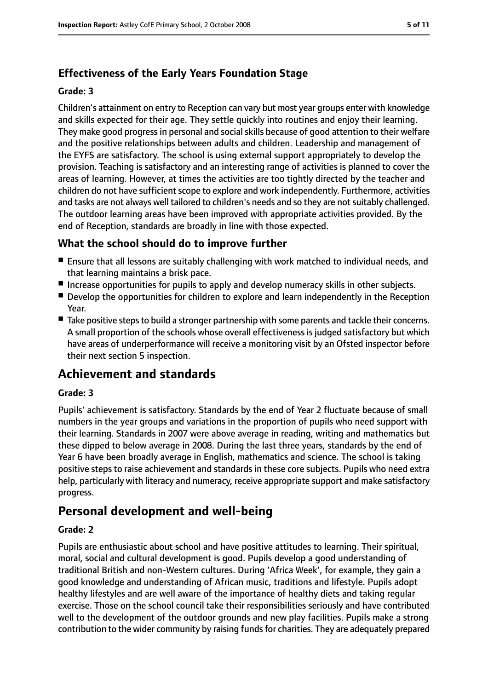# **Effectiveness of the Early Years Foundation Stage**

#### **Grade: 3**

Children's attainment on entry to Reception can vary but most year groups enter with knowledge and skills expected for their age. They settle quickly into routines and enjoy their learning. They make good progress in personal and social skills because of good attention to their welfare and the positive relationships between adults and children. Leadership and management of the EYFS are satisfactory. The school is using external support appropriately to develop the provision. Teaching is satisfactory and an interesting range of activities is planned to cover the areas of learning. However, at times the activities are too tightly directed by the teacher and children do not have sufficient scope to explore and work independently. Furthermore, activities and tasks are not always well tailored to children's needs and so they are not suitably challenged. The outdoor learning areas have been improved with appropriate activities provided. By the end of Reception, standards are broadly in line with those expected.

## **What the school should do to improve further**

- Ensure that all lessons are suitably challenging with work matched to individual needs, and that learning maintains a brisk pace.
- Increase opportunities for pupils to apply and develop numeracy skills in other subjects.
- Develop the opportunities for children to explore and learn independently in the Reception Year.
- Take positive steps to build a stronger partnership with some parents and tackle their concerns. A small proportion of the schools whose overall effectiveness is judged satisfactory but which have areas of underperformance will receive a monitoring visit by an Ofsted inspector before their next section 5 inspection.

# **Achievement and standards**

#### **Grade: 3**

Pupils' achievement is satisfactory. Standards by the end of Year 2 fluctuate because of small numbers in the year groups and variations in the proportion of pupils who need support with their learning. Standards in 2007 were above average in reading, writing and mathematics but these dipped to below average in 2008. During the last three years, standards by the end of Year 6 have been broadly average in English, mathematics and science. The school is taking positive steps to raise achievement and standards in these core subjects. Pupils who need extra help, particularly with literacy and numeracy, receive appropriate support and make satisfactory progress.

# **Personal development and well-being**

#### **Grade: 2**

Pupils are enthusiastic about school and have positive attitudes to learning. Their spiritual, moral, social and cultural development is good. Pupils develop a good understanding of traditional British and non-Western cultures. During 'Africa Week', for example, they gain a good knowledge and understanding of African music, traditions and lifestyle. Pupils adopt healthy lifestyles and are well aware of the importance of healthy diets and taking regular exercise. Those on the school council take their responsibilities seriously and have contributed well to the development of the outdoor grounds and new play facilities. Pupils make a strong contribution to the wider community by raising funds for charities. They are adequately prepared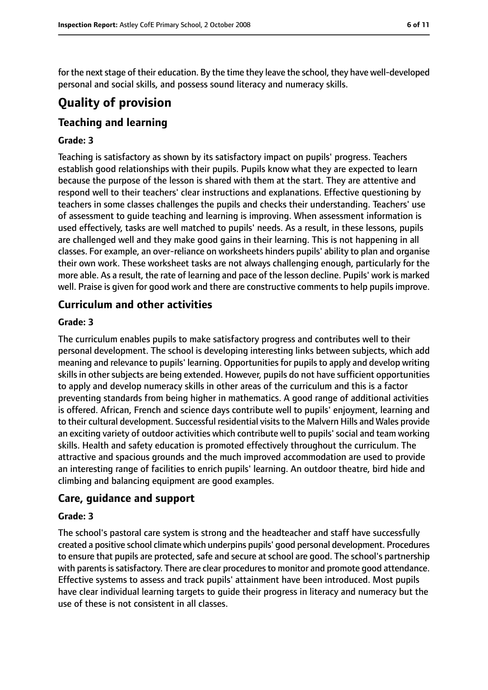for the next stage of their education. By the time they leave the school, they have well-developed personal and social skills, and possess sound literacy and numeracy skills.

# **Quality of provision**

# **Teaching and learning**

#### **Grade: 3**

Teaching is satisfactory as shown by its satisfactory impact on pupils' progress. Teachers establish good relationships with their pupils. Pupils know what they are expected to learn because the purpose of the lesson is shared with them at the start. They are attentive and respond well to their teachers' clear instructions and explanations. Effective questioning by teachers in some classes challenges the pupils and checks their understanding. Teachers' use of assessment to guide teaching and learning is improving. When assessment information is used effectively, tasks are well matched to pupils' needs. As a result, in these lessons, pupils are challenged well and they make good gains in their learning. This is not happening in all classes. For example, an over-reliance on worksheets hinders pupils' ability to plan and organise their own work. These worksheet tasks are not always challenging enough, particularly for the more able. As a result, the rate of learning and pace of the lesson decline. Pupils' work is marked well. Praise is given for good work and there are constructive comments to help pupils improve.

#### **Curriculum and other activities**

#### **Grade: 3**

The curriculum enables pupils to make satisfactory progress and contributes well to their personal development. The school is developing interesting links between subjects, which add meaning and relevance to pupils' learning. Opportunities for pupils to apply and develop writing skills in other subjects are being extended. However, pupils do not have sufficient opportunities to apply and develop numeracy skills in other areas of the curriculum and this is a factor preventing standards from being higher in mathematics. A good range of additional activities is offered. African, French and science days contribute well to pupils' enjoyment, learning and to their cultural development. Successful residential visits to the Malvern Hills and Wales provide an exciting variety of outdoor activities which contribute well to pupils' social and team working skills. Health and safety education is promoted effectively throughout the curriculum. The attractive and spacious grounds and the much improved accommodation are used to provide an interesting range of facilities to enrich pupils' learning. An outdoor theatre, bird hide and climbing and balancing equipment are good examples.

## **Care, guidance and support**

#### **Grade: 3**

The school's pastoral care system is strong and the headteacher and staff have successfully created a positive school climate which underpins pupils' good personal development. Procedures to ensure that pupils are protected, safe and secure at school are good. The school's partnership with parents is satisfactory. There are clear procedures to monitor and promote good attendance. Effective systems to assess and track pupils' attainment have been introduced. Most pupils have clear individual learning targets to guide their progress in literacy and numeracy but the use of these is not consistent in all classes.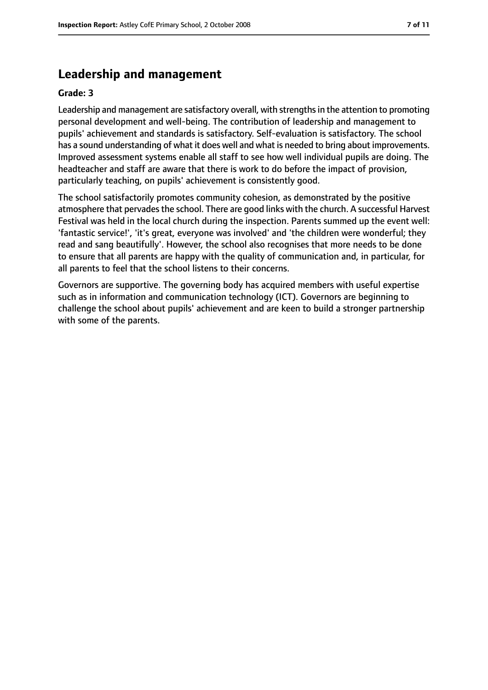## **Leadership and management**

#### **Grade: 3**

Leadership and management are satisfactory overall, with strengthsin the attention to promoting personal development and well-being. The contribution of leadership and management to pupils' achievement and standards is satisfactory. Self-evaluation is satisfactory. The school has a sound understanding of what it does well and what is needed to bring about improvements. Improved assessment systems enable all staff to see how well individual pupils are doing. The headteacher and staff are aware that there is work to do before the impact of provision, particularly teaching, on pupils' achievement is consistently good.

The school satisfactorily promotes community cohesion, as demonstrated by the positive atmosphere that pervades the school. There are good links with the church. A successful Harvest Festival was held in the local church during the inspection. Parents summed up the event well: 'fantastic service!', 'it's great, everyone was involved' and 'the children were wonderful; they read and sang beautifully'. However, the school also recognises that more needs to be done to ensure that all parents are happy with the quality of communication and, in particular, for all parents to feel that the school listens to their concerns.

Governors are supportive. The governing body has acquired members with useful expertise such as in information and communication technology (ICT). Governors are beginning to challenge the school about pupils' achievement and are keen to build a stronger partnership with some of the parents.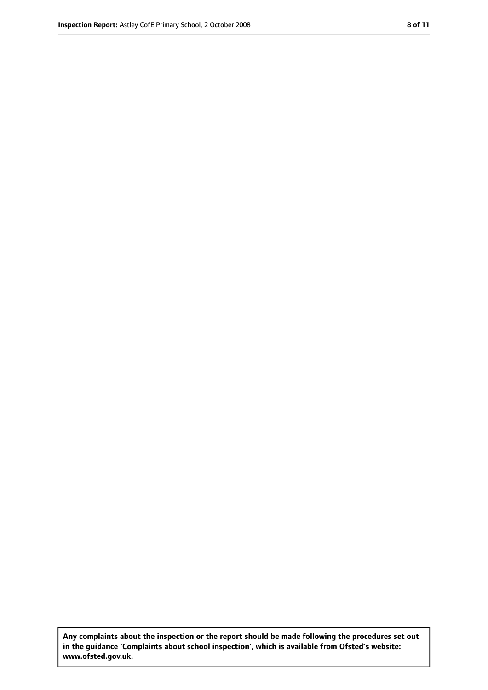**Any complaints about the inspection or the report should be made following the procedures set out in the guidance 'Complaints about school inspection', which is available from Ofsted's website: www.ofsted.gov.uk.**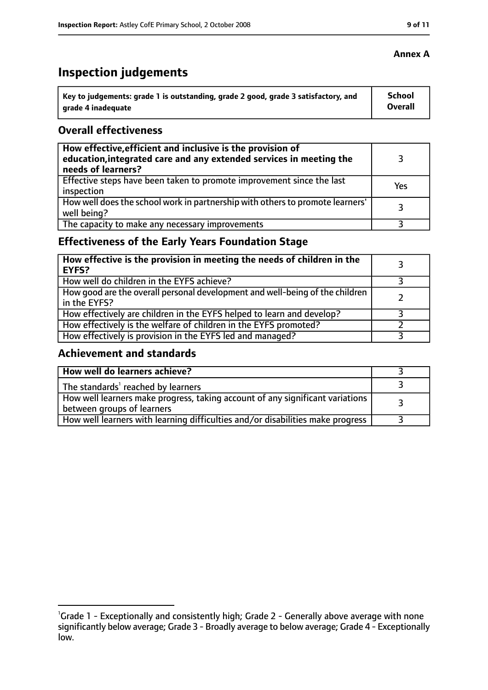# **Inspection judgements**

| $^{\backprime}$ Key to judgements: grade 1 is outstanding, grade 2 good, grade 3 satisfactory, and | School  |
|----------------------------------------------------------------------------------------------------|---------|
| arade 4 inadequate                                                                                 | Overall |

#### **Overall effectiveness**

| How effective, efficient and inclusive is the provision of<br>education, integrated care and any extended services in meeting the<br>needs of learners? |     |
|---------------------------------------------------------------------------------------------------------------------------------------------------------|-----|
| Effective steps have been taken to promote improvement since the last<br>inspection                                                                     | Yes |
| How well does the school work in partnership with others to promote learners'<br>well being?                                                            | 3   |
| The capacity to make any necessary improvements                                                                                                         |     |

# **Effectiveness of the Early Years Foundation Stage**

| How effective is the provision in meeting the needs of children in the<br>EYFS?                |  |
|------------------------------------------------------------------------------------------------|--|
| How well do children in the EYFS achieve?                                                      |  |
| How good are the overall personal development and well-being of the children<br>I in the EYFS? |  |
| How effectively are children in the EYFS helped to learn and develop?                          |  |
| How effectively is the welfare of children in the EYFS promoted?                               |  |
| How effectively is provision in the EYFS led and managed?                                      |  |

#### **Achievement and standards**

| How well do learners achieve?                                                  |  |
|--------------------------------------------------------------------------------|--|
| $\vert$ The standards <sup>1</sup> reached by learners                         |  |
| How well learners make progress, taking account of any significant variations  |  |
| between groups of learners                                                     |  |
| How well learners with learning difficulties and/or disabilities make progress |  |

#### **Annex A**

<sup>&</sup>lt;sup>1</sup>Grade 1 - Exceptionally and consistently high; Grade 2 - Generally above average with none significantly below average; Grade 3 - Broadly average to below average; Grade 4 - Exceptionally low.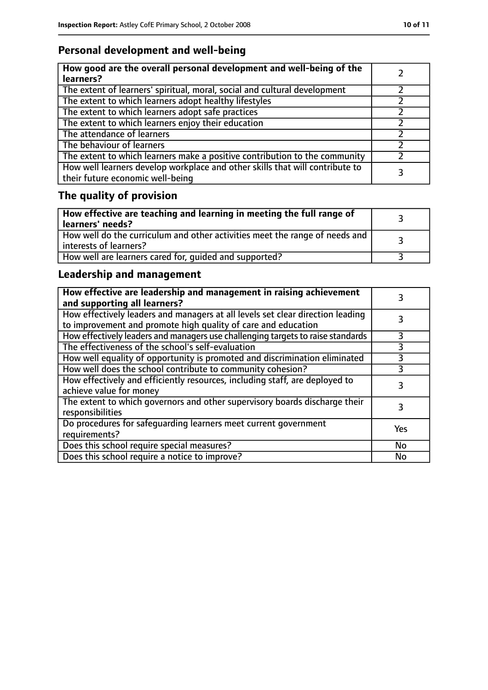# **Personal development and well-being**

| How good are the overall personal development and well-being of the<br>learners?                                 |  |
|------------------------------------------------------------------------------------------------------------------|--|
| The extent of learners' spiritual, moral, social and cultural development                                        |  |
| The extent to which learners adopt healthy lifestyles                                                            |  |
| The extent to which learners adopt safe practices                                                                |  |
| The extent to which learners enjoy their education                                                               |  |
| The attendance of learners                                                                                       |  |
| The behaviour of learners                                                                                        |  |
| The extent to which learners make a positive contribution to the community                                       |  |
| How well learners develop workplace and other skills that will contribute to<br>their future economic well-being |  |

# **The quality of provision**

| How effective are teaching and learning in meeting the full range of<br>learners' needs?                |  |
|---------------------------------------------------------------------------------------------------------|--|
| How well do the curriculum and other activities meet the range of needs and<br>  interests of learners? |  |
| How well are learners cared for, quided and supported?                                                  |  |

# **Leadership and management**

| How effective are leadership and management in raising achievement<br>and supporting all learners?                                              |     |
|-------------------------------------------------------------------------------------------------------------------------------------------------|-----|
| How effectively leaders and managers at all levels set clear direction leading<br>to improvement and promote high quality of care and education |     |
| How effectively leaders and managers use challenging targets to raise standards                                                                 |     |
| The effectiveness of the school's self-evaluation                                                                                               | 3   |
| How well equality of opportunity is promoted and discrimination eliminated                                                                      | 3   |
| How well does the school contribute to community cohesion?                                                                                      | 3   |
| How effectively and efficiently resources, including staff, are deployed to<br>achieve value for money                                          | 3   |
| The extent to which governors and other supervisory boards discharge their<br>responsibilities                                                  |     |
| Do procedures for safequarding learners meet current government<br>requirements?                                                                | Yes |
| Does this school require special measures?                                                                                                      | No  |
| Does this school require a notice to improve?                                                                                                   | No  |